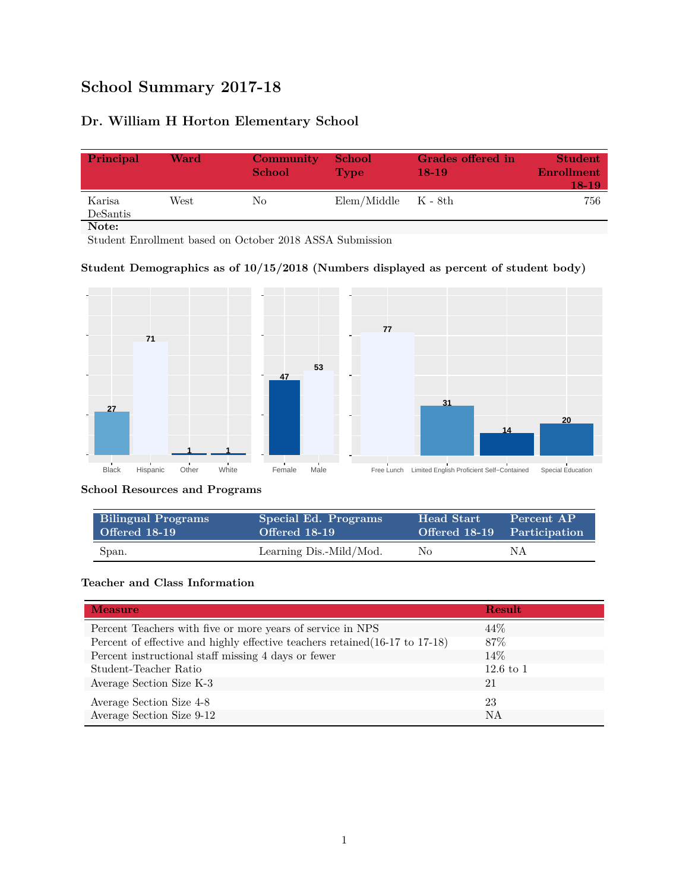# **School Summary 2017-18**

# **Dr. William H Horton Elementary School**

| Principal          | Ward | Community<br><b>School</b> | <b>School</b><br><b>Type</b> | Grades offered in<br>$18-19$ | <b>Student</b><br><b>Enrollment</b><br>18-19 |
|--------------------|------|----------------------------|------------------------------|------------------------------|----------------------------------------------|
| Karisa<br>DeSantis | West | No                         | $Elem/Middle$ $K - 8th$      |                              | 756                                          |
| Note:              |      |                            |                              |                              |                                              |

Student Enrollment based on October 2018 ASSA Submission

### **Student Demographics as of 10/15/2018 (Numbers displayed as percent of student body)**



#### **School Resources and Programs**

| <b>Bilingual Programs</b> | Special Ed. Programs    | <b>Head Start</b> | Percent AP                  |
|---------------------------|-------------------------|-------------------|-----------------------------|
| Offered 18-19             | Offered 18-19           |                   | Offered 18-19 Participation |
| Span.                     | Learning Dis.-Mild/Mod. | No.               | NΑ                          |

## **Teacher and Class Information**

| <b>Measure</b>                                                               | <b>Result</b>        |
|------------------------------------------------------------------------------|----------------------|
| Percent Teachers with five or more years of service in NPS                   | 44\%                 |
| Percent of effective and highly effective teachers retained (16-17 to 17-18) | 87\%                 |
| Percent instructional staff missing 4 days or fewer                          | $14\%$               |
| Student-Teacher Ratio                                                        | $12.6 \text{ to } 1$ |
| Average Section Size K-3                                                     | 21                   |
| Average Section Size 4-8                                                     | 23                   |
| Average Section Size 9-12                                                    | NA                   |